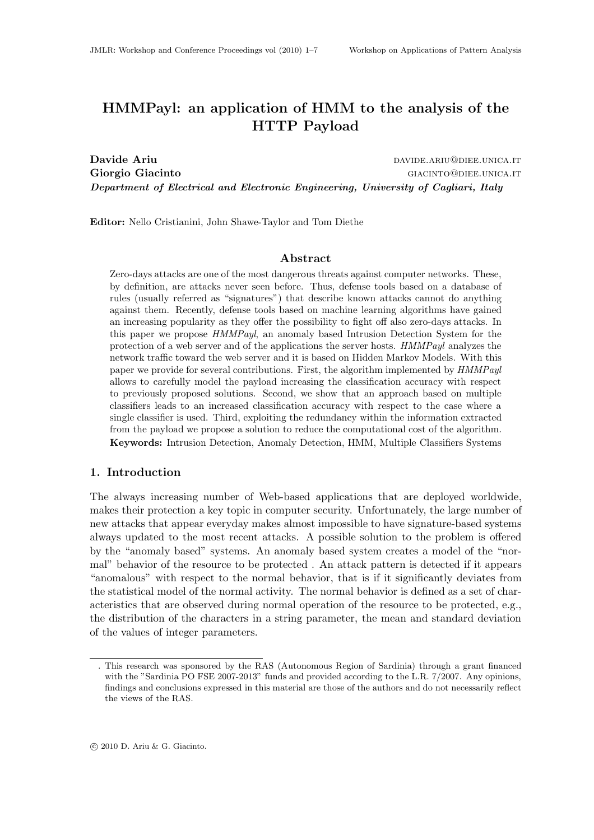# HMMPayl: an application of HMM to the analysis of the HTTP Payload

Davide Ariu davide.ariu davide.ariu davide.ariu@diee.unica.it Giorgio Giacinto Giorgio Giacinto Giorgio Giorgio Giorgio Giorgio Giorgio Giorgio Giorgio Giorgio Giorgio Gior Department of Electrical and Electronic Engineering, University of Cagliari, Italy

Editor: Nello Cristianini, John Shawe-Taylor and Tom Diethe

# Abstract

Zero-days attacks are one of the most dangerous threats against computer networks. These, by definition, are attacks never seen before. Thus, defense tools based on a database of rules (usually referred as "signatures") that describe known attacks cannot do anything against them. Recently, defense tools based on machine learning algorithms have gained an increasing popularity as they offer the possibility to fight off also zero-days attacks. In this paper we propose HMMPayl, an anomaly based Intrusion Detection System for the protection of a web server and of the applications the server hosts. HMMPayl analyzes the network traffic toward the web server and it is based on Hidden Markov Models. With this paper we provide for several contributions. First, the algorithm implemented by HMMPayl allows to carefully model the payload increasing the classification accuracy with respect to previously proposed solutions. Second, we show that an approach based on multiple classifiers leads to an increased classification accuracy with respect to the case where a single classifier is used. Third, exploiting the redundancy within the information extracted from the payload we propose a solution to reduce the computational cost of the algorithm. Keywords: Intrusion Detection, Anomaly Detection, HMM, Multiple Classifiers Systems

#### 1. Introduction

The always increasing number of Web-based applications that are deployed worldwide, makes their protection a key topic in computer security. Unfortunately, the large number of new attacks that appear everyday makes almost impossible to have signature-based systems always updated to the most recent attacks. A possible solution to the problem is offered by the "anomaly based" systems. An anomaly based system creates a model of the "normal" behavior of the resource to be protected . An attack pattern is detected if it appears "anomalous" with respect to the normal behavior, that is if it significantly deviates from the statistical model of the normal activity. The normal behavior is defined as a set of characteristics that are observed during normal operation of the resource to be protected, e.g., the distribution of the characters in a string parameter, the mean and standard deviation of the values of integer parameters.

<sup>.</sup> This research was sponsored by the RAS (Autonomous Region of Sardinia) through a grant financed with the "Sardinia PO FSE 2007-2013" funds and provided according to the L.R. 7/2007. Any opinions, findings and conclusions expressed in this material are those of the authors and do not necessarily reflect the views of the RAS.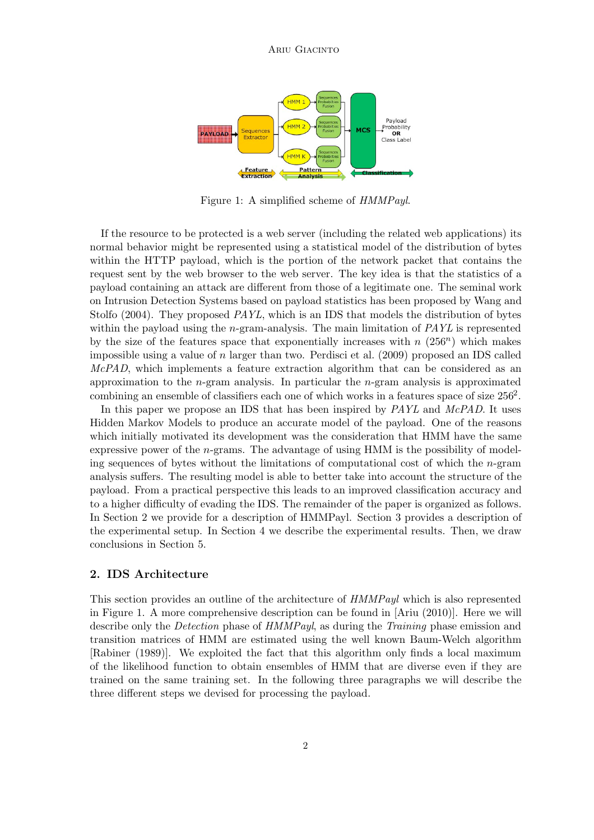

Figure 1: A simplified scheme of HMMPayl.

If the resource to be protected is a web server (including the related web applications) its normal behavior might be represented using a statistical model of the distribution of bytes within the HTTP payload, which is the portion of the network packet that contains the request sent by the web browser to the web server. The key idea is that the statistics of a payload containing an attack are different from those of a legitimate one. The seminal work on Intrusion Detection Systems based on payload statistics has been proposed by Wang and Stolfo (2004). They proposed PAYL, which is an IDS that models the distribution of bytes within the payload using the *n*-gram-analysis. The main limitation of *PAYL* is represented by the size of the features space that exponentially increases with  $n(256^n)$  which makes impossible using a value of n larger than two. Perdisci et al.  $(2009)$  proposed an IDS called McPAD, which implements a feature extraction algorithm that can be considered as an approximation to the  $n$ -gram analysis. In particular the  $n$ -gram analysis is approximated combining an ensemble of classifiers each one of which works in a features space of size  $256<sup>2</sup>$ .

In this paper we propose an IDS that has been inspired by PAYL and McPAD. It uses Hidden Markov Models to produce an accurate model of the payload. One of the reasons which initially motivated its development was the consideration that HMM have the same expressive power of the  $n$ -grams. The advantage of using HMM is the possibility of modeling sequences of bytes without the limitations of computational cost of which the n-gram analysis suffers. The resulting model is able to better take into account the structure of the payload. From a practical perspective this leads to an improved classification accuracy and to a higher difficulty of evading the IDS. The remainder of the paper is organized as follows. In Section 2 we provide for a description of HMMPayl. Section 3 provides a description of the experimental setup. In Section 4 we describe the experimental results. Then, we draw conclusions in Section 5.

# 2. IDS Architecture

This section provides an outline of the architecture of HMMPayl which is also represented in Figure 1. A more comprehensive description can be found in [Ariu (2010)]. Here we will describe only the *Detection* phase of HMMPayl, as during the *Training* phase emission and transition matrices of HMM are estimated using the well known Baum-Welch algorithm [Rabiner (1989)]. We exploited the fact that this algorithm only finds a local maximum of the likelihood function to obtain ensembles of HMM that are diverse even if they are trained on the same training set. In the following three paragraphs we will describe the three different steps we devised for processing the payload.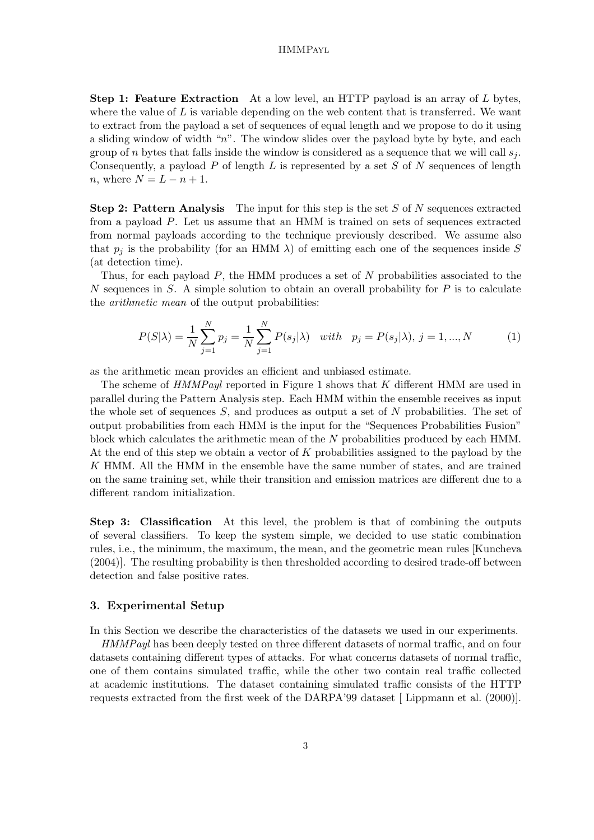#### HMMPayl

Step 1: Feature Extraction At a low level, an HTTP payload is an array of L bytes, where the value of  $L$  is variable depending on the web content that is transferred. We want to extract from the payload a set of sequences of equal length and we propose to do it using a sliding window of width " $n$ ". The window slides over the payload byte by byte, and each group of n bytes that falls inside the window is considered as a sequence that we will call  $s_i$ . Consequently, a payload  $P$  of length  $L$  is represented by a set  $S$  of  $N$  sequences of length n, where  $N = L - n + 1$ .

**Step 2: Pattern Analysis** The input for this step is the set  $S$  of  $N$  sequences extracted from a payload P. Let us assume that an HMM is trained on sets of sequences extracted from normal payloads according to the technique previously described. We assume also that  $p_i$  is the probability (for an HMM  $\lambda$ ) of emitting each one of the sequences inside S (at detection time).

Thus, for each payload  $P$ , the HMM produces a set of  $N$  probabilities associated to the N sequences in S. A simple solution to obtain an overall probability for  $P$  is to calculate the arithmetic mean of the output probabilities:

$$
P(S|\lambda) = \frac{1}{N} \sum_{j=1}^{N} p_j = \frac{1}{N} \sum_{j=1}^{N} P(s_j|\lambda) \text{ with } p_j = P(s_j|\lambda), j = 1, ..., N
$$
 (1)

as the arithmetic mean provides an efficient and unbiased estimate.

The scheme of HMMPayl reported in Figure 1 shows that K different HMM are used in parallel during the Pattern Analysis step. Each HMM within the ensemble receives as input the whole set of sequences  $S$ , and produces as output a set of  $N$  probabilities. The set of output probabilities from each HMM is the input for the "Sequences Probabilities Fusion" block which calculates the arithmetic mean of the N probabilities produced by each HMM. At the end of this step we obtain a vector of K probabilities assigned to the payload by the K HMM. All the HMM in the ensemble have the same number of states, and are trained on the same training set, while their transition and emission matrices are different due to a different random initialization.

Step 3: Classification At this level, the problem is that of combining the outputs of several classifiers. To keep the system simple, we decided to use static combination rules, i.e., the minimum, the maximum, the mean, and the geometric mean rules [Kuncheva (2004)]. The resulting probability is then thresholded according to desired trade-off between detection and false positive rates.

# 3. Experimental Setup

In this Section we describe the characteristics of the datasets we used in our experiments.

HMMPayl has been deeply tested on three different datasets of normal traffic, and on four datasets containing different types of attacks. For what concerns datasets of normal traffic, one of them contains simulated traffic, while the other two contain real traffic collected at academic institutions. The dataset containing simulated traffic consists of the HTTP requests extracted from the first week of the DARPA'99 dataset [ Lippmann et al. (2000)].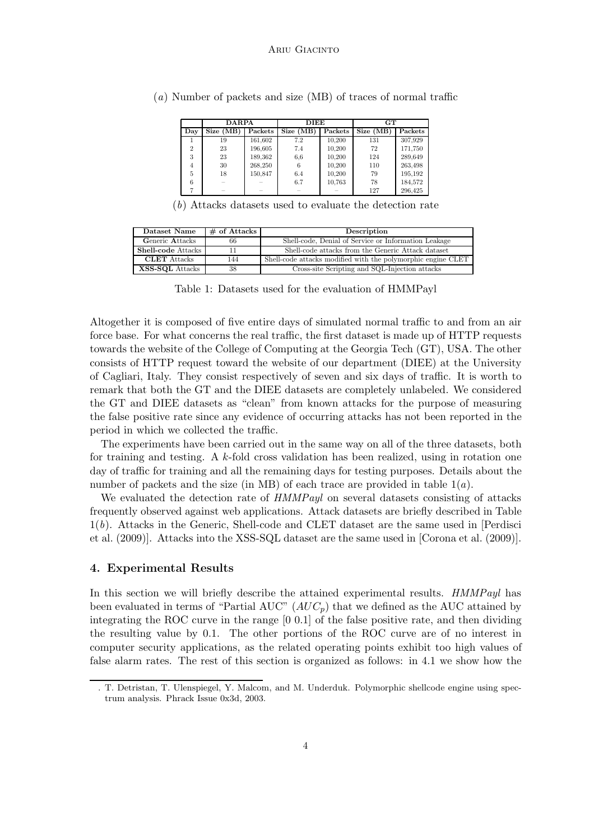|                | <b>DARPA</b> |         | <b>DIEE</b> |         | GT       |         |  |  |
|----------------|--------------|---------|-------------|---------|----------|---------|--|--|
| Day            | Size (MB)    | Packets | Size (MB)   | Packets | Size(MB) | Packets |  |  |
|                | 19           | 161,602 | 7.2         | 10,200  | 131      | 307,929 |  |  |
| $\overline{2}$ | 23           | 196,605 | 7.4         | 10,200  | 72       | 171,750 |  |  |
| 3              | 23           | 189,362 | 6.6         | 10,200  | 124      | 289,649 |  |  |
| 4              | 30           | 268,250 | 6           | 10,200  | 110      | 263,498 |  |  |
| 5              | 18           | 150,847 | 6.4         | 10,200  | 79       | 195,192 |  |  |
| 6              |              |         | 6.7         | 10,763  | 78       | 184,572 |  |  |
|                |              |         |             |         | 127      | 296.425 |  |  |

(a) Number of packets and size (MB) of traces of normal traffic

(b) Attacks datasets used to evaluate the detection rate

| Dataset Name        | $#$ of Attacks | Description                                                  |  |  |  |  |  |
|---------------------|----------------|--------------------------------------------------------------|--|--|--|--|--|
| Generic Attacks     | 66             | Shell-code, Denial of Service or Information Leakage         |  |  |  |  |  |
| Shell-code Attacks  | 11             | Shell-code attacks from the Generic Attack dataset           |  |  |  |  |  |
| <b>CLET</b> Attacks | 144            | Shell-code attacks modified with the polymorphic engine CLET |  |  |  |  |  |
| XSS-SQL Attacks     | 38             | Cross-site Scripting and SQL-Injection attacks               |  |  |  |  |  |

Table 1: Datasets used for the evaluation of HMMPayl

Altogether it is composed of five entire days of simulated normal traffic to and from an air force base. For what concerns the real traffic, the first dataset is made up of HTTP requests towards the website of the College of Computing at the Georgia Tech (GT), USA. The other consists of HTTP request toward the website of our department (DIEE) at the University of Cagliari, Italy. They consist respectively of seven and six days of traffic. It is worth to remark that both the GT and the DIEE datasets are completely unlabeled. We considered the GT and DIEE datasets as "clean" from known attacks for the purpose of measuring the false positive rate since any evidence of occurring attacks has not been reported in the period in which we collected the traffic.

The experiments have been carried out in the same way on all of the three datasets, both for training and testing. A k-fold cross validation has been realized, using in rotation one day of traffic for training and all the remaining days for testing purposes. Details about the number of packets and the size (in MB) of each trace are provided in table  $1(a)$ .

We evaluated the detection rate of  $HMMPayl$  on several datasets consisting of attacks frequently observed against web applications. Attack datasets are briefly described in Table  $1(b)$ . Attacks in the Generic, Shell-code and CLET dataset are the same used in [Perdisci et al. (2009)]. Attacks into the XSS-SQL dataset are the same used in [Corona et al. (2009)].

# 4. Experimental Results

In this section we will briefly describe the attained experimental results. HMMPayl has been evaluated in terms of "Partial AUC"  $(AUC_p)$  that we defined as the AUC attained by integrating the ROC curve in the range [0 0.1] of the false positive rate, and then dividing the resulting value by 0.1. The other portions of the ROC curve are of no interest in computer security applications, as the related operating points exhibit too high values of false alarm rates. The rest of this section is organized as follows: in 4.1 we show how the

<sup>.</sup> T. Detristan, T. Ulenspiegel, Y. Malcom, and M. Underduk. Polymorphic shellcode engine using spectrum analysis. Phrack Issue 0x3d, 2003.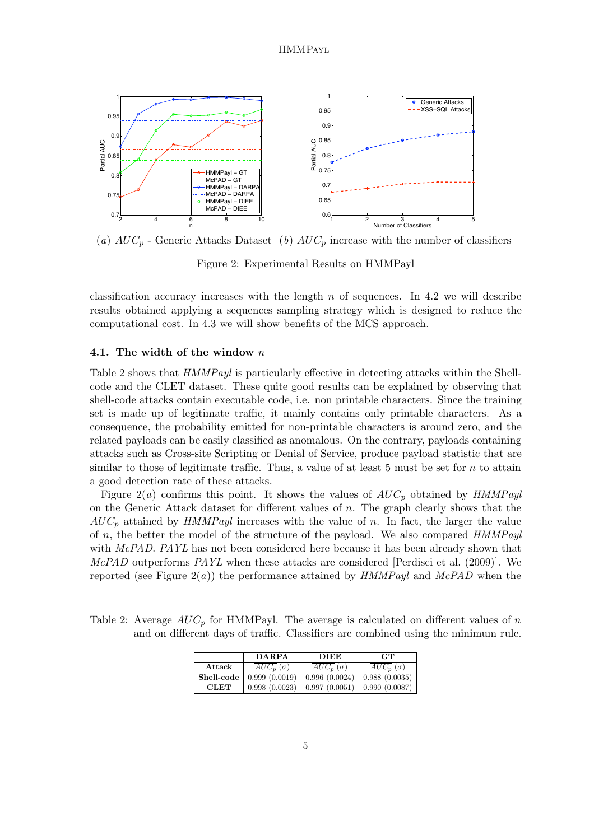

(a)  $AUC_p$  - Generic Attacks Dataset (b)  $AUC_p$  increase with the number of classifiers

Figure 2: Experimental Results on HMMPayl

classification accuracy increases with the length n of sequences. In 4.2 we will describe results obtained applying a sequences sampling strategy which is designed to reduce the computational cost. In 4.3 we will show benefits of the MCS approach.

#### 4.1. The width of the window  $n$

Table 2 shows that HMMPayl is particularly effective in detecting attacks within the Shellcode and the CLET dataset. These quite good results can be explained by observing that shell-code attacks contain executable code, i.e. non printable characters. Since the training set is made up of legitimate traffic, it mainly contains only printable characters. As a consequence, the probability emitted for non-printable characters is around zero, and the related payloads can be easily classified as anomalous. On the contrary, payloads containing attacks such as Cross-site Scripting or Denial of Service, produce payload statistic that are similar to those of legitimate traffic. Thus, a value of at least 5 must be set for  $n$  to attain a good detection rate of these attacks.

Figure 2(a) confirms this point. It shows the values of  $AUC_p$  obtained by  $HMMPayl$ on the Generic Attack dataset for different values of  $n$ . The graph clearly shows that the  $AUC_p$  attained by HMMPayl increases with the value of n. In fact, the larger the value of  $n$ , the better the model of the structure of the payload. We also compared  $HMMPayl$ with McPAD. PAYL has not been considered here because it has been already shown that McPAD outperforms PAYL when these attacks are considered [Perdisci et al. (2009)]. We reported (see Figure  $2(a)$ ) the performance attained by HMMPayl and McPAD when the

Table 2: Average  $AUC_p$  for HMMPayl. The average is calculated on different values of n and on different days of traffic. Classifiers are combined using the minimum rule.

|             | <b>DARPA</b>    | <b>DIEE</b>     | <b>GT</b>       |  |  |
|-------------|-----------------|-----------------|-----------------|--|--|
| Attack      | $AUC_n(\sigma)$ | $AUC_n(\sigma)$ | $AUC_n(\sigma)$ |  |  |
| Shell-code  | 0.999(0.0019)   | 0.996(0.0024)   | 0.988(0.0035)   |  |  |
| <b>CLET</b> | 0.998(0.0023)   | 0.997(0.0051)   | 0.990(0.0087)   |  |  |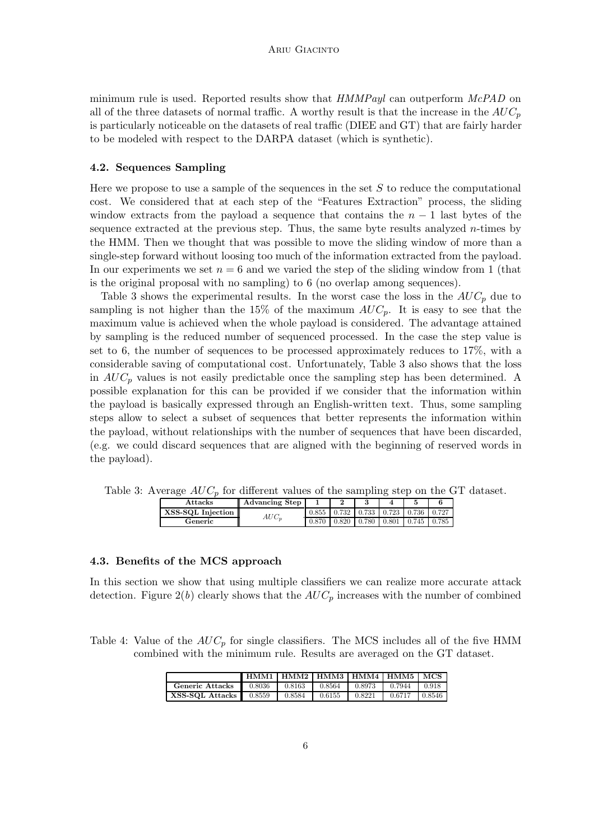minimum rule is used. Reported results show that  $HMMPayl$  can outperform  $McPAD$  on all of the three datasets of normal traffic. A worthy result is that the increase in the  $AUC_p$ is particularly noticeable on the datasets of real traffic (DIEE and GT) that are fairly harder to be modeled with respect to the DARPA dataset (which is synthetic).

# 4.2. Sequences Sampling

Here we propose to use a sample of the sequences in the set  $S$  to reduce the computational cost. We considered that at each step of the "Features Extraction" process, the sliding window extracts from the payload a sequence that contains the  $n-1$  last bytes of the sequence extracted at the previous step. Thus, the same byte results analyzed  $n$ -times by the HMM. Then we thought that was possible to move the sliding window of more than a single-step forward without loosing too much of the information extracted from the payload. In our experiments we set  $n = 6$  and we varied the step of the sliding window from 1 (that is the original proposal with no sampling) to 6 (no overlap among sequences).

Table 3 shows the experimental results. In the worst case the loss in the  $AUC_p$  due to sampling is not higher than the 15% of the maximum  $AUC_p$ . It is easy to see that the maximum value is achieved when the whole payload is considered. The advantage attained by sampling is the reduced number of sequenced processed. In the case the step value is set to 6, the number of sequences to be processed approximately reduces to 17%, with a considerable saving of computational cost. Unfortunately, Table 3 also shows that the loss in  $AUC_p$  values is not easily predictable once the sampling step has been determined. A possible explanation for this can be provided if we consider that the information within the payload is basically expressed through an English-written text. Thus, some sampling steps allow to select a subset of sequences that better represents the information within the payload, without relationships with the number of sequences that have been discarded, (e.g. we could discard sequences that are aligned with the beginning of reserved words in the payload).

|  |  |  |  |  |  |  |  | Table 3: Average $AUC_p$ for different values of the sampling step on the GT dataset. |  |  |  |  |  |  |
|--|--|--|--|--|--|--|--|---------------------------------------------------------------------------------------|--|--|--|--|--|--|
|--|--|--|--|--|--|--|--|---------------------------------------------------------------------------------------|--|--|--|--|--|--|

| Attacks           | <b>Advancing Step</b> |       |       |       |       |       |       |
|-------------------|-----------------------|-------|-------|-------|-------|-------|-------|
| XSS-SQL Injection | $AUC_n$               | 0.855 | 0.732 | 0.733 | 0.723 | 0.736 | 0.727 |
| Generic           |                       | 0.870 | 0.820 | 0.780 | 0.801 | 0.745 | 0.785 |

# 4.3. Benefits of the MCS approach

In this section we show that using multiple classifiers we can realize more accurate attack detection. Figure  $2(b)$  clearly shows that the  $AUC_p$  increases with the number of combined

Table 4: Value of the  $AUC_p$  for single classifiers. The MCS includes all of the five HMM combined with the minimum rule. Results are averaged on the GT dataset.

|                                    | HMM1   HMM2   HMM3   HMM4   HMM5   MCS |        |        |              |        |        |
|------------------------------------|----------------------------------------|--------|--------|--------------|--------|--------|
| Generic Attacks $\parallel$ 0.8036 |                                        | 0.8163 | 0.8564 | $1 \t0.8973$ | 0.7944 | 0.918  |
| XSS-SQL Attacks 0.8559             |                                        | 0.8584 | 0.6155 | 0.8221       | 0.6717 | 0.8546 |